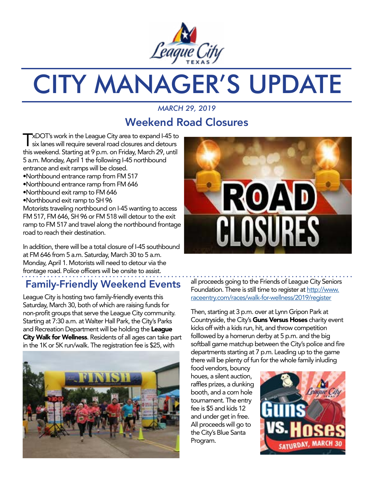

# CITY MANAGER'S UPDATE

### *MARCH 29, 2019* Weekend Road Closures

TxDOT's work in the League City area to expand I-45 to<br>six lanes will require several road closures and detours this weekend. Starting at 9 p.m. on Friday, March 29, until 5 a.m. Monday, April 1 the following I-45 northbound entrance and exit ramps will be closed.

- •Northbound entrance ramp from FM 517
- •Northbound entrance ramp from FM 646
- •Northbound exit ramp to FM 646
- •Northbound exit ramp to SH 96

Motorists traveling northbound on I-45 wanting to access FM 517, FM 646, SH 96 or FM 518 will detour to the exit ramp to FM 517 and travel along the northbound frontage road to reach their destination.

In addition, there will be a total closure of I-45 southbound at FM 646 from 5 a.m. Saturday, March 30 to 5 a.m. Monday, April 1. Motorists will need to detour via the frontage road. Police officers will be onsite to assist.

## Family-Friendly Weekend Events

League City is hosting two family-friendly events this Saturday, March 30, both of which are raising funds for non-profit groups that serve the League City community. Starting at 7:30 a.m. at Walter Hall Park, the City's Parks and Recreation Department will be holding the League City Walk for Wellness. Residents of all ages can take part in the 1K or 5K run/walk. The registration fee is \$25, with





all proceeds going to the Friends of League City Seniors Foundation. There is still time to register at [http://www.](http://www.raceentry.com/races/walk-for-wellness/2019/register ) [raceentry.com/races/walk-for-wellness/2019/register](http://www.raceentry.com/races/walk-for-wellness/2019/register )

Then, starting at 3 p.m. over at Lynn Gripon Park at Countryside, the City's Guns Versus Hoses charity event kicks off with a kids run, hit, and throw competition folllowed by a homerun derby at 5 p.m. and the big softball game matchup between the City's police and fire departments starting at 7 p.m. Leading up to the game there will be plenty of fun for the whole family inluding

food vendors, bouncy houes, a silent auction, raffles prizes, a dunking booth, and a corn hole tournament. The entry fee is \$5 and kids 12 and under get in free. All proceeds will go to the City's Blue Santa Program.

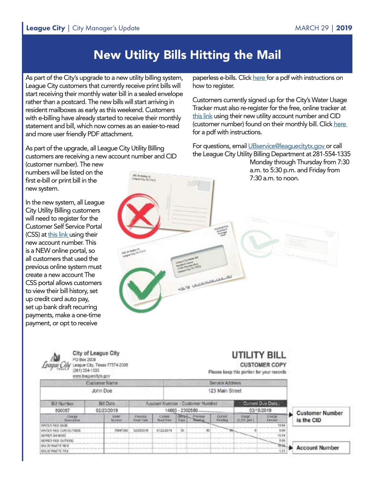## New Utility Bills Hitting the Mail

As part of the City's upgrade to a new utility billing system, League City customers that currently receive print bills will start receiving their monthly water bill in a sealed envelope rather than a postcard. The new bills will start arriving in resident mailboxes as early as this weekend. Customers with e-billing have already started to receive their monthly statement and bill, which now comes as an easier-to-read and more user friendly PDF attachment.

As part of the upgrade, all League City Utility Billing customers are receiving a new account number and CID

**JIE & Walker St.** 

(customer number). The new numbers will be listed on the first e-bill or print bill in the new system.

In the new system, all League City Utility Billing customers will need to register for the Customer Self Service Portal (CSS) at [this link](https://selfservice.leaguecity.com/MSS/) using their new account number. This is a NEW online portal, so all customers that used the previous online system must create a new account The CSS portal allows customers to view their bill history, set up credit card auto pay, set up bank draft recurring payments, make a one-time payment, or opt to receive

paperless e-bills. Click [here](http://www.leaguecity.com/DocumentCenter/View/20800/New-Utility-Billing-System-Instructions) for a pdf with instructions on how to register.

Customers currently signed up for the City's Water Usage Tracker must also re-register for the free, online tracker at [this link](https://my-leaguecity.sensus-analytics.com/login.html#/signin) using their new utility account number and CID (customer number) found on their monthly bill. Click [here](http://www.leaguecity.com/DocumentCenter/View/20799/Water-Usage-Tracker-Guide)  for a pdf with instructions.

For questions, email UBservice@leaquecitytx.gov or call the League City Utility Billing Department at 281-554-1335

Monday through Thursday from 7:30 a.m. to 5:30 p.m. and Friday from 7:30 a.m. to noon.

| ---                                   | 麻木                                                                |              |                                                          |                                                                                                            |
|---------------------------------------|-------------------------------------------------------------------|--------------|----------------------------------------------------------|------------------------------------------------------------------------------------------------------------|
|                                       |                                                                   |              | <b>FR. In transport</b><br><b>Superintendent Comment</b> |                                                                                                            |
| <b>COL</b><br><b>May of the State</b> |                                                                   | Formation of |                                                          | 9<br><b>Contractor</b><br><b>Contract Contract</b><br><b>Call Contractor</b><br><b>LEWIS CO., LANSING.</b> |
|                                       | League City Water S.O.<br><b>Bridgetti Spring</b><br>LENGTHON Bud |              |                                                          | <b>Contractoring</b>                                                                                       |
|                                       | <b>HS678 LEARNING ALL AN</b>                                      |              |                                                          |                                                                                                            |
|                                       |                                                                   |              |                                                          |                                                                                                            |

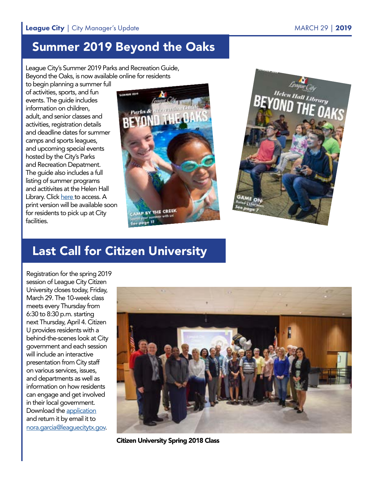## Summer 2019 Beyond the Oaks

League City's Summer 2019 Parks and Recreation Guide, Beyond the Oaks, is now available online for residents

to begin planning a summer full of activities, sports, and fun events. The guide includes information on children, adult, and senior classes and activities, registration details and deadline dates for summer camps and sports leagues, and upcoming special events hosted by the City's Parks and Recreation Depatment. The guide also includes a full listing of summer programs and actitivites at the Helen Hall Library. Click [here](http://leaguecity.com/DocumentCenter/View/20811/beyond-the-oaks-summer-2019-digital) to access. A print version will be available soon for residents to pick up at City facilities.





## Last Call for Citizen University

Registration for the spring 2019 session of League City Citizen University closes today, Friday, March 29. The 10-week class meets every Thursday from 6:30 to 8:30 p.m. starting next Thursday, April 4. Citizen U provides residents with a behind-the-scenes look at City government and each session will include an interactive presentation from City staff on various services, issues, and departments as well as information on how residents can engage and get involved in their local government. Download the [application](http://leaguecity.com/DocumentCenter/View/20576/Citizen-U-application) and return it by email it to [nora.garcia@leaguecitytx.gov](mailto:nora.garcia%40leaguecitytx.gov?subject=).



Citizen University Spring 2018 Class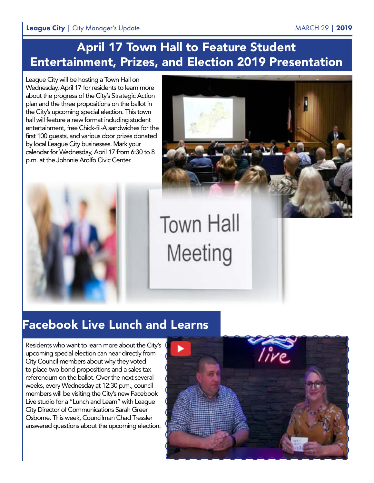## April 17 Town Hall to Feature Student Entertainment, Prizes, and Election 2019 Presentation

League City will be hosting a Town Hall on Wednesday, April 17 for residents to learn more about the progress of the City's Strategic Action plan and the three propositions on the ballot in the City's upcoming special election. This town hall will feature a new format including student entertainment, free Chick-fil-A sandwiches for the first 100 guests, and various door prizes donated by local League City businesses. Mark your calendar for Wednesday, April 17 from 6:30 to 8 p.m. at the Johnnie Arolfo Civic Center.





## **Town Hall** Meeting

## Facebook Live Lunch and Learns

Residents who want to learn more about the City's upcoming special election can hear directly from City Council members about why they voted to place two bond propositions and a sales tax referendum on the ballot. Over the next several weeks, every Wednesday at 12:30 p.m., council members will be visiting the City's new Facebook Live studio for a "Lunch and Learn" with League City Director of Communications Sarah Greer Osborne. This week, Councilman Chad Tressler answered questions about the upcoming election.

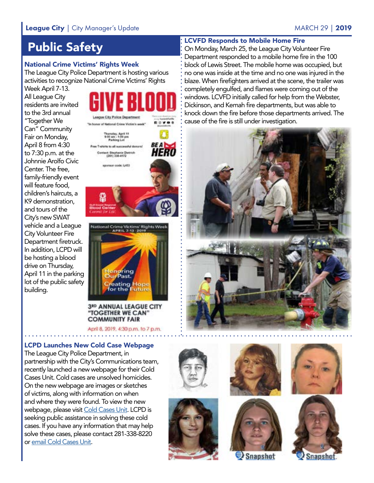#### League City | City Manager's Update MARCH 29 | 2019

## Public Safety

#### National Crime Victims' Rights Week

The League City Police Department is hosting various activities to recognize National Crime Victims' Rights

Week April 7-13. All League City residents are invited to the 3rd annual "Together We Can" Community Fair on Monday, April 8 from 4:30 to 7:30 p.m. at the Johnnie Arolfo Civic Center. The free, family-friendly event will feature food, children's haircuts, a K9 demonstration, and tours of the City's new SWAT vehicle and a League City Volunteer Fire Department firetruck. In addition, LCPD will be hosting a blood drive on Thursday, April 11 in the parking lot of the public safety building.







**3RD ANNUAL LEAGUE CITY** "TOGETHER WE CAN" **COMMUNITY FAIR** 

April 8, 2019, 4:30 p.m. to 7 p.m.

#### LCPD Launches New Cold Case Webpage

The League City Police Department, in partnership with the City's Communications team, recently launched a new webpage for their Cold Cases Unit. Cold cases are unsolved homicides. On the new webpage are images or sketches of victims, along with information on when and where they were found. To view the new webpage, please visit [Cold Cases Unit](https://www.leaguecity.com/2503/Cold-Cases-Unit). LCPD is seeking public assistance in solving these cold cases. If you have any information that may help solve these cases, please contact 281-338-8220 or [email Cold Cases Unit](mailto:coldcase%40leaguecitytx.gov?subject=).















#### LCVFD Responds to Mobile Home Fire

On Monday, March 25, the League City Volunteer Fire Department responded to a mobile home fire in the 100 block of Lewis Street. The mobile home was occupied, but no one was inside at the time and no one was injured in the blaze. When firefighters arrived at the scene, the trailer was completely engulfed, and flames were coming out of the windows. LCVFD initially called for help from the Webster, Dickinson, and Kemah fire departments, but was able to knock down the fire before those departments arrived. The cause of the fire is still under investigation.

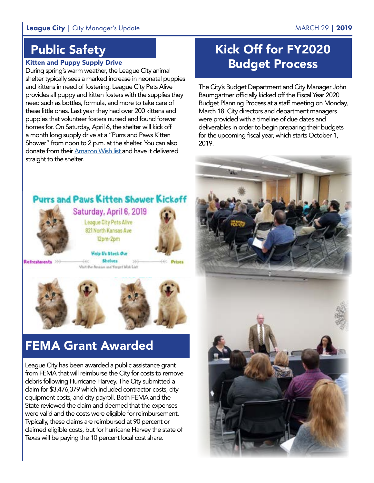## Public Safety

#### Kitten and Puppy Supply Drive

During spring's warm weather, the League City animal shelter typically sees a marked increase in neonatal puppies and kittens in need of fostering. League City Pets Alive provides all puppy and kitten fosters with the supplies they need such as bottles, formula, and more to take care of these little ones. Last year they had over 200 kittens and puppies that volunteer fosters nursed and found forever homes for. On Saturday, April 6, the shelter will kick off a month long supply drive at a "Purrs and Paws Kitten Shower" from noon to 2 p.m. at the shelter. You can also donate from their [Amazon Wish list](https://www.amazon.com/hz/wishlist/ls/182VTZW6WBGUN?ref_=wl_share) and have it delivered straight to the shelter.

## Kick Off for FY2020 Budget Process

The City's Budget Department and City Manager John Baumgartner officially kicked off the Fiscal Year 2020 Budget Planning Process at a staff meeting on Monday, March 18. City directors and department managers were provided with a timeline of due dates and deliverables in order to begin preparing their budgets for the upcoming fiscal year, which starts October 1, 2019.



Saturday, April 6, 2019 League City Pets Alive 821 North Kansas Ave 12pm-2pm Help Us Steck Our

**Purrs and Paws Kitten Shower Kickoff** 

Refreshments >>>

**Shelves** 440 Visit Our Amazon and Varget Wish List

**Prizes** 



## FEMA Grant Awarded

League City has been awarded a public assistance grant from FEMA that will reimburse the City for costs to remove debris following Hurricane Harvey. The City submitted a claim for \$3,476,379 which included contractor costs, city equipment costs, and city payroll. Both FEMA and the State reviewed the claim and deemed that the expenses were valid and the costs were eligible for reimbursement. Typically, these claims are reimbursed at 90 percent or claimed eligible costs, but for hurricane Harvey the state of Texas will be paying the 10 percent local cost share.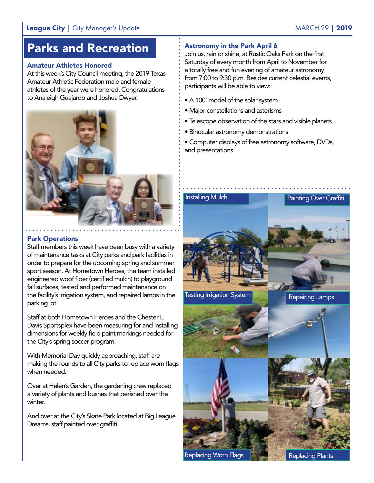## Parks and Recreation

#### Amateur Athletes Honored

At this week's City Council meeting, the 2019 Texas Amateur Athletic Federation male and female athletes of the year were honored. Congratulations to Analeigh Guajardo and Joshua Dwyer.



#### Park Operations

Staff members this week have been busy with a variety of maintenance tasks at City parks and park facilities in order to prepare for the upcoming spring and summer sport season. At Hometown Heroes, the team installed engineered woof fiber (certified mulch) to playground fall surfaces, tested and performed maintenance on the facility's irrigation system, and repaired lamps in the parking lot.

Staff at both Hometown Heroes and the Chester L. Davis Sportsplex have been measuring for and installing dimensions for weekly field paint markings needed for the City's spring soccer program.

With Memorial Day quickly approaching, staff are making the rounds to all City parks to replace worn flags when needed.

Over at Helen's Garden, the gardening crew replaced a variety of plants and bushes that perished over the winter.

And over at the City's Skate Park located at Big League Dreams, staff painted over graffiti.

#### Astronomy in the Park April 6

Join us, rain or shine, at Rustic Oaks Park on the first Saturday of every month from April to November for a totally free and fun evening of amateur astronomy from 7:00 to 9:30 p.m. Besides current celestial events, participants will be able to view:

- A 100' model of the solar system
- Major constellations and asterisms
- Telescope observation of the stars and visible planets
- Binocular astronomy demonstrations

• Computer displays of free astronomy software, DVDs, and presentations.



**Replacing Worn Flags** 

Replacing Plants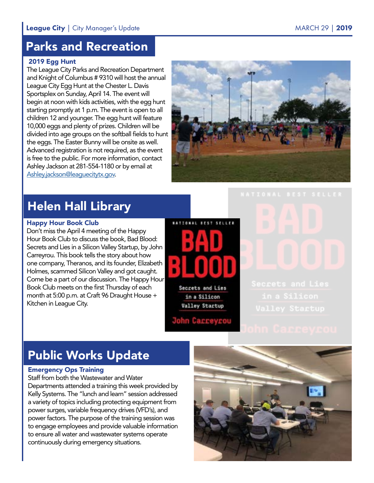## Parks and Recreation

#### 2019 Egg Hunt

The League City Parks and Recreation Department and Knight of Columbus # 9310 will host the annual League City Egg Hunt at the Chester L. Davis Sportsplex on Sunday, April 14. The event will begin at noon with kids activities, with the egg hunt starting promptly at 1 p.m. The event is open to all children 12 and younger. The egg hunt will feature 10,000 eggs and plenty of prizes. Children will be divided into age groups on the softball fields to hunt the eggs. The Easter Bunny will be onsite as well. Advanced registration is not required, as the event is free to the public. For more information, contact Ashley Jackson at 281-554-1180 or by email at [Ashley.jackson@leaguecitytx.gov.](mailto:Ashley.jackson%40leaguecitytx.gov?subject=)



## Helen Hall Library

#### Happy Hour Book Club

Don't miss the April 4 meeting of the Happy Hour Book Club to discuss the book, Bad Blood: Secrets and Lies in a Silicon Valley Startup, by John Carreyrou. This book tells the story about how one company, Theranos, and its founder, Elizabeth Holmes, scammed Silicon Valley and got caught. Come be a part of our discussion. The Happy Hour Book Club meets on the first Thursday of each month at 5:00 p.m. at Craft 96 Draught House + Kitchen in League City.

NATIONAL SEST SELLER Secrets and Lies

in a Silicon **Valley Startup** 

**John Carreyrou** 

## Public Works Update

#### Emergency Ops Training

Staff from both the Wastewater and Water Departments attended a training this week provided by Kelly Systems. The "lunch and learn" session addressed a variety of topics including protecting equipment from power surges, variable frequency drives (VFD's), and power factors. The purpose of the training session was to engage employees and provide valuable information to ensure all water and wastewater systems operate continuously during emergency situations.

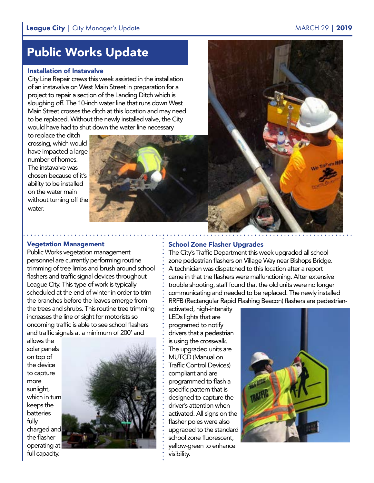## Public Works Update

#### Installation of Instavalve

City Line Repair crews this week assisted in the installation of an instavalve on West Main Street in preparation for a project to repair a section of the Landing Ditch which is sloughing off. The 10-inch water line that runs down West Main Street crosses the ditch at this location and may need to be replaced. Without the newly installed valve, the City would have had to shut down the water line necessary

to replace the ditch crossing, which would have impacted a large number of homes. The instavalve was chosen because of it's ability to be installed on the water main without turning off the water.



#### Vegetation Management

Public Works vegetation management personnel are currently performing routine trimming of tree limbs and brush around school flashers and traffic signal devices throughout League City. This type of work is typically scheduled at the end of winter in order to trim the branches before the leaves emerge from the trees and shrubs. This routine tree trimming increases the line of sight for motorists so oncoming traffic is able to see school flashers and traffic signals at a minimum of 200' and

allows the solar panels on top of the device to capture more sunlight, which in turn keeps the batteries fully charged and the flasher operating at full capacity.



#### School Zone Flasher Upgrades

The City's Traffic Department this week upgraded all school zone pedestrian flashers on Village Way near Bishops Bridge. A technician was dispatched to this location after a report came in that the flashers were malfunctioning. After extensive trouble shooting, staff found that the old units were no longer communicating and needed to be replaced. The newly installed RRFB (Rectangular Rapid Flashing Beacon) flashers are pedestrian-

activated, high-intensity LEDs lights that are programed to notify drivers that a pedestrian is using the crosswalk. The upgraded units are MUTCD (Manual on Traffic Control Devices) compliant and are programmed to flash a specific pattern that is designed to capture the driver's attention when activated. All signs on the flasher poles were also upgraded to the standard school zone fluorescent, yellow-green to enhance visibility.

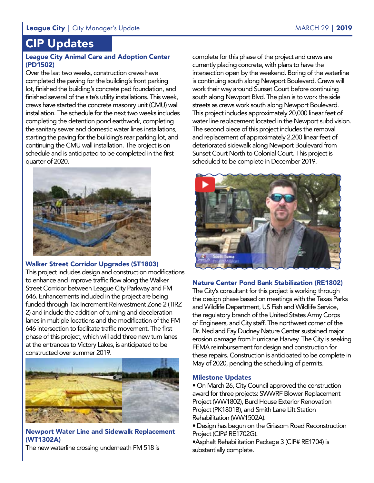## CIP Updates

#### League City Animal Care and Adoption Center (PD1502)

Over the last two weeks, construction crews have completed the paving for the building's front parking lot, finished the building's concrete pad foundation, and finished several of the site's utility installations. This week, crews have started the concrete masonry unit (CMU) wall installation. The schedule for the next two weeks includes completing the detention pond earthwork, completing the sanitary sewer and domestic water lines installations, starting the paving for the building's rear parking lot, and continuing the CMU wall installation. The project is on schedule and is anticipated to be completed in the first quarter of 2020.



#### Walker Street Corridor Upgrades (ST1803)

This project includes design and construction modifications to enhance and improve traffic flow along the Walker Street Corridor between League City Parkway and FM 646. Enhancements included in the project are being funded through Tax Increment Reinvestment Zone 2 (TIRZ 2) and include the addition of turning and deceleration lanes in multiple locations and the modification of the FM 646 intersection to facilitate traffic movement. The first phase of this project, which will add three new turn lanes at the entrances to Victory Lakes, is anticipated to be constructed over summer 2019.



#### Newport Water Line and Sidewalk Replacement (WT1302A)

The new waterline crossing underneath FM 518 is

complete for this phase of the project and crews are currently placing concrete, with plans to have the intersection open by the weekend. Boring of the waterline is continuing south along Newport Boulevard. Crews will work their way around Sunset Court before continuing south along Newport Blvd. The plan is to work the side streets as crews work south along Newport Boulevard. This project includes approximately 20,000 linear feet of water line replacement located in the Newport subdivision. The second piece of this project includes the removal and replacement of approximately 2,200 linear feet of deteriorated sidewalk along Newport Boulevard from Sunset Court North to Colonial Court. This project is scheduled to be complete in December 2019.



#### Nature Center Pond Bank Stabilization (RE1802)

The City's consultant for this project is working through the design phase based on meetings with the Texas Parks and Wildlife Department, US Fish and Wildlife Service, the regulatory branch of the United States Army Corps of Engineers, and City staff. The northwest corner of the Dr. Ned and Fay Dudney Nature Center sustained major erosion damage from Hurricane Harvey. The City is seeking FEMA reimbursement for design and construction for these repairs. Construction is anticipated to be complete in May of 2020, pending the scheduling of permits.

#### Milestone Updates

• On March 26, City Council approved the construction award for three projects: SWWRF Blower Replacement Project (WW1802), Burd House Exterior Renovation Project (PK1801B), and Smith Lane Lift Station Rehabilitation (WW1502A).

• Design has begun on the Grissom Road Reconstruction Project (CIP# RE1702G).

•Asphalt Rehabilitation Package 3 (CIP# RE1704) is substantially complete.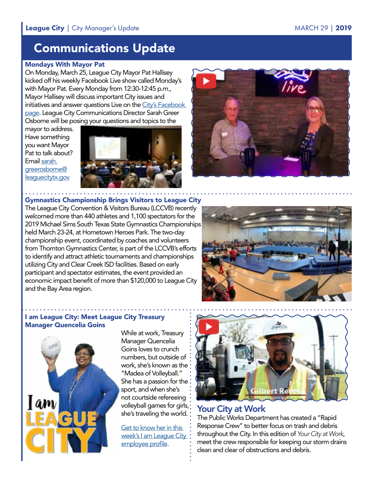## Communications Update

#### Mondays With Mayor Pat

On Monday, March 25, League City Mayor Pat Hallisey kicked off his weekly Facebook Live show called Monday's with Mayor Pat. Every Monday from 12:30-12:45 p.m., Mayor Hallisey will discuss important City issues and initiatives and answer questions Live on the [City's Facebook](http://www.facebook.com/leaguecitytexas)  [page](http://www.facebook.com/leaguecitytexas). League City Communications Director Sarah Greer Osborne will be posing your questions and topics to the

mayor to address. Have something you want Mayor Pat to talk about? Email [sarah.](mailto:sarah.greerosborne%40leaguecitytx.gov?subject=) [greerosborne@](mailto:sarah.greerosborne%40leaguecitytx.gov?subject=) [leaguecitytx.gov](mailto:sarah.greerosborne%40leaguecitytx.gov?subject=)





Gymnastics Championship Brings Visitors to League City The League City Convention & Visitors Bureau (LCCVB) recently welcomed more than 440 athletes and 1,100 spectators for the 2019 Michael Sims South Texas State Gymnastics Championships held March 23-24, at Hometown Heroes Park. The two-day championship event, coordinated by coaches and volunteers from Thornton Gymnastics Center, is part of the LCCVB's efforts to identify and attract athletic tournaments and championships utilizing City and Clear Creek ISD facilities. Based on early participant and spectator estimates, the event provided an economic impact benefit of more than \$120,000 to League City and the Bay Area region.



#### I am League City: Meet League City Treasury Manager Quencelia Goins



While at work, Treasury Manager Quencelia Goins loves to crunch numbers, but outside of work, she's known as the "Madea of Volleyball." She has a passion for the sport, and when she's not courtside refereeing volleyball games for girls, she's traveling the world.

[Get to know her in this](http://leaguecity.com/3291/Quencelia-Goins)  [week's I am League City](http://leaguecity.com/3291/Quencelia-Goins)  [employee profile.](http://leaguecity.com/3291/Quencelia-Goins)



#### Your City at Work

The Public Works Department has created a "Rapid Response Crew" to better focus on trash and debris throughout the City. In this edition of *Your City at Work*, meet the crew responsible for keeping our storm drains clean and clear of obstructions and debris.